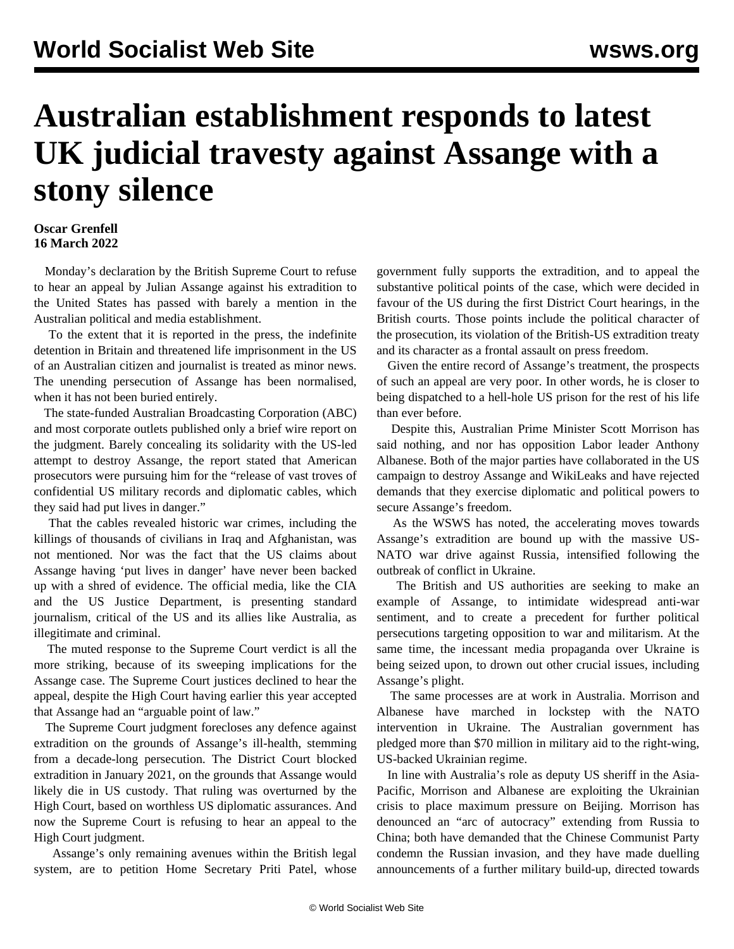## **Australian establishment responds to latest UK judicial travesty against Assange with a stony silence**

## **Oscar Grenfell 16 March 2022**

 Monday's declaration by the British Supreme Court to refuse to hear an appeal by Julian Assange against his extradition to the United States has passed with barely a mention in the Australian political and media establishment.

 To the extent that it is reported in the press, the indefinite detention in Britain and threatened life imprisonment in the US of an Australian citizen and journalist is treated as minor news. The unending persecution of Assange has been normalised, when it has not been buried entirely.

 The state-funded Australian Broadcasting Corporation (ABC) and most corporate outlets published only a brief wire report on the judgment. Barely concealing its solidarity with the US-led attempt to destroy Assange, the report stated that American prosecutors were pursuing him for the "release of vast troves of confidential US military records and diplomatic cables, which they said had put lives in danger."

 That the cables revealed historic war crimes, including the killings of thousands of civilians in Iraq and Afghanistan, was not mentioned. Nor was the fact that the US claims about Assange having 'put lives in danger' have never been backed up with a shred of evidence. The official media, like the CIA and the US Justice Department, is presenting standard journalism, critical of the US and its allies like Australia, as illegitimate and criminal.

 The muted response to the Supreme Court verdict is all the more striking, because of its sweeping implications for the Assange case. The Supreme Court justices declined to hear the appeal, despite the High Court having earlier this year accepted that Assange had an "arguable point of law."

 The Supreme Court judgment forecloses any defence against extradition on the grounds of Assange's ill-health, stemming from a decade-long persecution. The District Court blocked extradition in January 2021, on the grounds that Assange would likely die in US custody. That ruling was overturned by the High Court, based on worthless US diplomatic assurances. And now the Supreme Court is refusing to hear an appeal to the High Court judgment.

 Assange's only remaining avenues within the British legal system, are to petition Home Secretary Priti Patel, whose

government fully supports the extradition, and to appeal the substantive political points of the case, which were decided in favour of the US during the first District Court hearings, in the British courts. Those points include the political character of the prosecution, its violation of the British-US extradition treaty and its character as a frontal assault on press freedom.

 Given the entire record of Assange's treatment, the prospects of such an appeal are very poor. In other words, he is closer to being dispatched to a hell-hole US prison for the rest of his life than ever before.

 Despite this, Australian Prime Minister Scott Morrison has said nothing, and nor has opposition Labor leader Anthony Albanese. Both of the major parties have collaborated in the US campaign to destroy Assange and WikiLeaks and have rejected demands that they exercise diplomatic and political powers to secure Assange's freedom.

 As the WSWS has noted, the accelerating moves towards Assange's extradition are bound up with the massive US-NATO war drive against Russia, intensified following the outbreak of conflict in Ukraine.

 The British and US authorities are seeking to make an example of Assange, to intimidate widespread anti-war sentiment, and to create a precedent for further political persecutions targeting opposition to war and militarism. At the same time, the incessant media propaganda over Ukraine is being seized upon, to drown out other crucial issues, including Assange's plight.

 The same processes are at work in Australia. Morrison and Albanese have marched in lockstep with the NATO intervention in Ukraine. The Australian government has pledged more than \$70 million in military aid to the right-wing, US-backed Ukrainian regime.

 In line with Australia's role as deputy US sheriff in the Asia-Pacific, Morrison and Albanese are exploiting the Ukrainian crisis to place maximum pressure on Beijing. Morrison has denounced an "arc of autocracy" extending from Russia to China; both have demanded that the Chinese Communist Party condemn the Russian invasion, and they have made duelling announcements of a further military build-up, directed towards